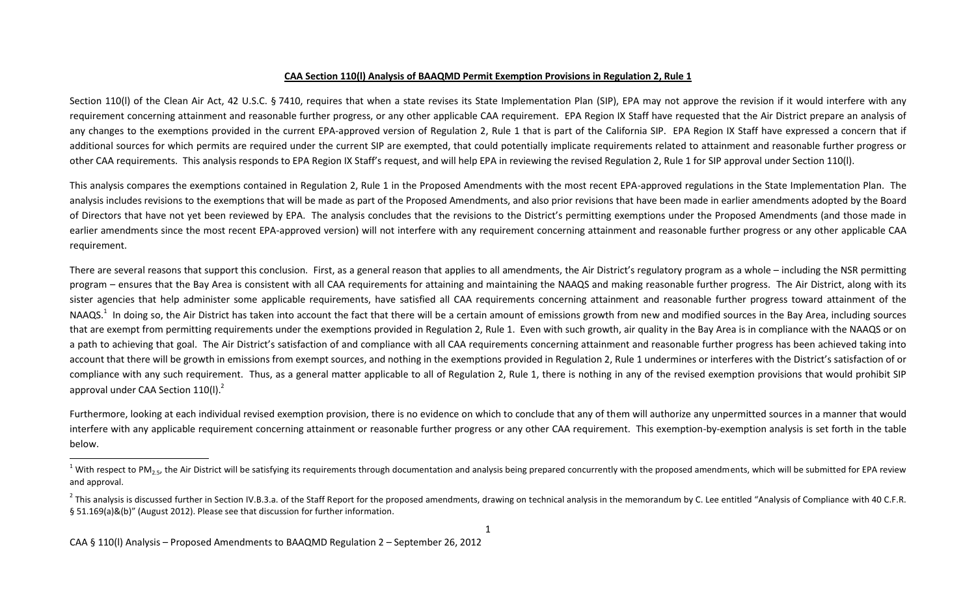## **CAA Section 110(l) Analysis of BAAQMD Permit Exemption Provisions in Regulation 2, Rule 1**

Section 110(I) of the Clean Air Act, 42 U.S.C. § 7410, requires that when a state revises its State Implementation Plan (SIP), EPA may not approve the revision if it would interfere with any requirement concerning attainment and reasonable further progress, or any other applicable CAA requirement. EPA Region IX Staff have requested that the Air District prepare an analysis of any changes to the exemptions provided in the current EPA-approved version of Regulation 2, Rule 1 that is part of the California SIP. EPA Region IX Staff have expressed a concern that if additional sources for which permits are required under the current SIP are exempted, that could potentially implicate requirements related to attainment and reasonable further progress or other CAA requirements. This analysis responds to EPA Region IX Staff's request, and will help EPA in reviewing the revised Regulation 2, Rule 1 for SIP approval under Section 110(l).

This analysis compares the exemptions contained in Regulation 2, Rule 1 in the Proposed Amendments with the most recent EPA-approved regulations in the State Implementation Plan. The analysis includes revisions to the exemptions that will be made as part of the Proposed Amendments, and also prior revisions that have been made in earlier amendments adopted by the Board of Directors that have not yet been reviewed by EPA. The analysis concludes that the revisions to the District's permitting exemptions under the Proposed Amendments (and those made in earlier amendments since the most recent EPA-approved version) will not interfere with any requirement concerning attainment and reasonable further progress or any other applicable CAA requirement.

There are several reasons that support this conclusion. First, as a general reason that applies to all amendments, the Air District's regulatory program as a whole – including the NSR permitting program – ensures that the Bay Area is consistent with all CAA requirements for attaining and maintaining the NAAQS and making reasonable further progress. The Air District, along with its sister agencies that help administer some applicable requirements, have satisfied all CAA requirements concerning attainment and reasonable further progress toward attainment of the NAAQS.<sup>1</sup> In doing so, the Air District has taken into account the fact that there will be a certain amount of emissions growth from new and modified sources in the Bay Area, including sources that are exempt from permitting requirements under the exemptions provided in Regulation 2, Rule 1. Even with such growth, air quality in the Bay Area is in compliance with the NAAQS or on a path to achieving that goal. The Air District's satisfaction of and compliance with all CAA requirements concerning attainment and reasonable further progress has been achieved taking into account that there will be growth in emissions from exempt sources, and nothing in the exemptions provided in Regulation 2, Rule 1 undermines or interferes with the District's satisfaction of or compliance with any such requirement. Thus, as a general matter applicable to all of Regulation 2, Rule 1, there is nothing in any of the revised exemption provisions that would prohibit SIP approval under CAA Section  $110($ l). $^2$ 

Furthermore, looking at each individual revised exemption provision, there is no evidence on which to conclude that any of them will authorize any unpermitted sources in a manner that would interfere with any applicable requirement concerning attainment or reasonable further progress or any other CAA requirement. This exemption-by-exemption analysis is set forth in the table below.

 $\overline{\phantom{a}}$ 

<sup>&</sup>lt;sup>1</sup> With respect to PM<sub>25</sub>, the Air District will be satisfying its requirements through documentation and analysis being prepared concurrently with the proposed amendments, which will be submitted for EPA review and approval.

<sup>&</sup>lt;sup>2</sup> This analysis is discussed further in Section IV.B.3.a. of the Staff Report for the proposed amendments, drawing on technical analysis in the memorandum by C. Lee entitled "Analysis of Compliance with 40 C.F.R. § 51.169(a)&(b)" (August 2012). Please see that discussion for further information.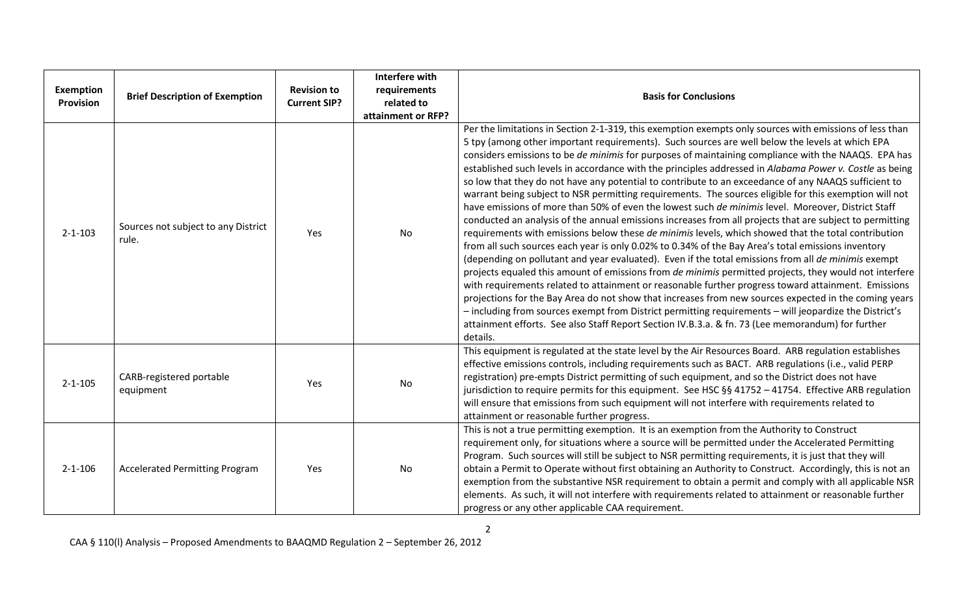| Exemption<br>Provision | <b>Brief Description of Exemption</b>        | <b>Revision to</b><br><b>Current SIP?</b> | <b>Interfere with</b><br>requirements<br>related to<br>attainment or RFP? | <b>Basis for Conclusions</b>                                                                                                                                                                                                                                                                                                                                                                                                                                                                                                                                                                                                                                                                                                                                                                                                                                                                                                                                                                                                                                                                                                                                                                                                                                                                                                                                                                                                                                                                                                                                                                                                                                                                                                              |
|------------------------|----------------------------------------------|-------------------------------------------|---------------------------------------------------------------------------|-------------------------------------------------------------------------------------------------------------------------------------------------------------------------------------------------------------------------------------------------------------------------------------------------------------------------------------------------------------------------------------------------------------------------------------------------------------------------------------------------------------------------------------------------------------------------------------------------------------------------------------------------------------------------------------------------------------------------------------------------------------------------------------------------------------------------------------------------------------------------------------------------------------------------------------------------------------------------------------------------------------------------------------------------------------------------------------------------------------------------------------------------------------------------------------------------------------------------------------------------------------------------------------------------------------------------------------------------------------------------------------------------------------------------------------------------------------------------------------------------------------------------------------------------------------------------------------------------------------------------------------------------------------------------------------------------------------------------------------------|
| $2 - 1 - 103$          | Sources not subject to any District<br>rule. | Yes                                       | No                                                                        | Per the limitations in Section 2-1-319, this exemption exempts only sources with emissions of less than<br>5 tpy (among other important requirements). Such sources are well below the levels at which EPA<br>considers emissions to be de minimis for purposes of maintaining compliance with the NAAQS. EPA has<br>established such levels in accordance with the principles addressed in Alabama Power v. Costle as being<br>so low that they do not have any potential to contribute to an exceedance of any NAAQS sufficient to<br>warrant being subject to NSR permitting requirements. The sources eligible for this exemption will not<br>have emissions of more than 50% of even the lowest such de minimis level. Moreover, District Staff<br>conducted an analysis of the annual emissions increases from all projects that are subject to permitting<br>requirements with emissions below these de minimis levels, which showed that the total contribution<br>from all such sources each year is only 0.02% to 0.34% of the Bay Area's total emissions inventory<br>(depending on pollutant and year evaluated). Even if the total emissions from all de minimis exempt<br>projects equaled this amount of emissions from de minimis permitted projects, they would not interfere<br>with requirements related to attainment or reasonable further progress toward attainment. Emissions<br>projections for the Bay Area do not show that increases from new sources expected in the coming years<br>- including from sources exempt from District permitting requirements - will jeopardize the District's<br>attainment efforts. See also Staff Report Section IV.B.3.a. & fn. 73 (Lee memorandum) for further<br>details. |
| $2 - 1 - 105$          | CARB-registered portable<br>equipment        | Yes                                       | No                                                                        | This equipment is regulated at the state level by the Air Resources Board. ARB regulation establishes<br>effective emissions controls, including requirements such as BACT. ARB regulations (i.e., valid PERP<br>registration) pre-empts District permitting of such equipment, and so the District does not have<br>jurisdiction to require permits for this equipment. See HSC §§ 41752 - 41754. Effective ARB regulation<br>will ensure that emissions from such equipment will not interfere with requirements related to<br>attainment or reasonable further progress.                                                                                                                                                                                                                                                                                                                                                                                                                                                                                                                                                                                                                                                                                                                                                                                                                                                                                                                                                                                                                                                                                                                                                               |
| $2 - 1 - 106$          | <b>Accelerated Permitting Program</b>        | Yes                                       | No                                                                        | This is not a true permitting exemption. It is an exemption from the Authority to Construct<br>requirement only, for situations where a source will be permitted under the Accelerated Permitting<br>Program. Such sources will still be subject to NSR permitting requirements, it is just that they will<br>obtain a Permit to Operate without first obtaining an Authority to Construct. Accordingly, this is not an<br>exemption from the substantive NSR requirement to obtain a permit and comply with all applicable NSR<br>elements. As such, it will not interfere with requirements related to attainment or reasonable further<br>progress or any other applicable CAA requirement.                                                                                                                                                                                                                                                                                                                                                                                                                                                                                                                                                                                                                                                                                                                                                                                                                                                                                                                                                                                                                                            |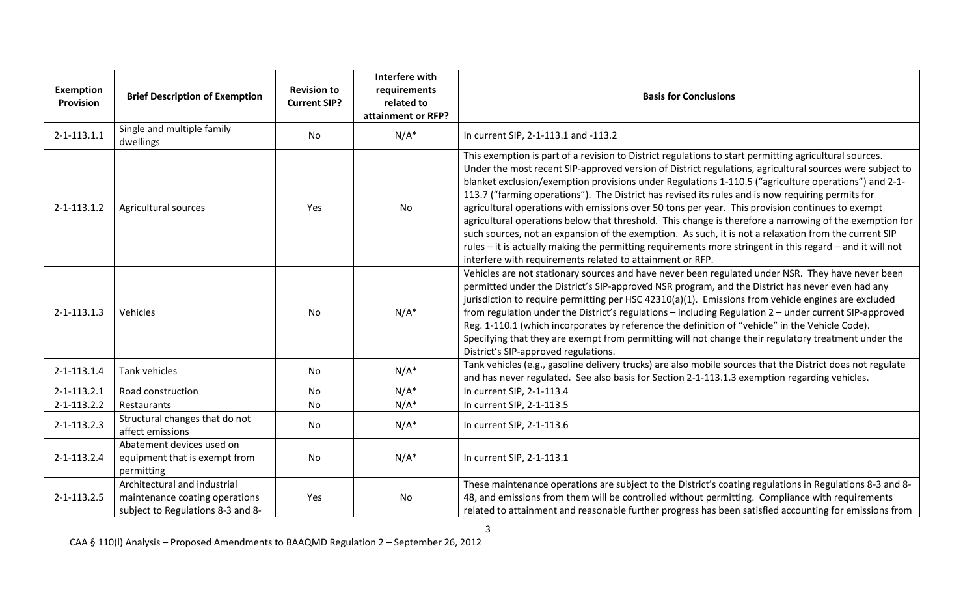| <b>Exemption</b><br><b>Provision</b> | <b>Brief Description of Exemption</b>                                                               | <b>Revision to</b><br><b>Current SIP?</b> | Interfere with<br>requirements<br>related to<br>attainment or RFP? | <b>Basis for Conclusions</b>                                                                                                                                                                                                                                                                                                                                                                                                                                                                                                                                                                                                                                                                                                                                                                                                                                                                                                      |
|--------------------------------------|-----------------------------------------------------------------------------------------------------|-------------------------------------------|--------------------------------------------------------------------|-----------------------------------------------------------------------------------------------------------------------------------------------------------------------------------------------------------------------------------------------------------------------------------------------------------------------------------------------------------------------------------------------------------------------------------------------------------------------------------------------------------------------------------------------------------------------------------------------------------------------------------------------------------------------------------------------------------------------------------------------------------------------------------------------------------------------------------------------------------------------------------------------------------------------------------|
| $2 - 1 - 113.1.1$                    | Single and multiple family<br>dwellings                                                             | No                                        | $N/A^*$                                                            | In current SIP, 2-1-113.1 and -113.2                                                                                                                                                                                                                                                                                                                                                                                                                                                                                                                                                                                                                                                                                                                                                                                                                                                                                              |
| 2-1-113.1.2                          | Agricultural sources                                                                                | Yes                                       | No                                                                 | This exemption is part of a revision to District regulations to start permitting agricultural sources.<br>Under the most recent SIP-approved version of District regulations, agricultural sources were subject to<br>blanket exclusion/exemption provisions under Regulations 1-110.5 ("agriculture operations") and 2-1-<br>113.7 ("farming operations"). The District has revised its rules and is now requiring permits for<br>agricultural operations with emissions over 50 tons per year. This provision continues to exempt<br>agricultural operations below that threshold. This change is therefore a narrowing of the exemption for<br>such sources, not an expansion of the exemption. As such, it is not a relaxation from the current SIP<br>rules - it is actually making the permitting requirements more stringent in this regard - and it will not<br>interfere with requirements related to attainment or RFP. |
| $2 - 1 - 113.1.3$                    | Vehicles                                                                                            | <b>No</b>                                 | $N/A^*$                                                            | Vehicles are not stationary sources and have never been regulated under NSR. They have never been<br>permitted under the District's SIP-approved NSR program, and the District has never even had any<br>jurisdiction to require permitting per HSC 42310(a)(1). Emissions from vehicle engines are excluded<br>from regulation under the District's regulations - including Regulation 2 - under current SIP-approved<br>Reg. 1-110.1 (which incorporates by reference the definition of "vehicle" in the Vehicle Code).<br>Specifying that they are exempt from permitting will not change their regulatory treatment under the<br>District's SIP-approved regulations.                                                                                                                                                                                                                                                         |
| $2 - 1 - 113.1.4$                    | <b>Tank vehicles</b>                                                                                | No                                        | $N/A^*$                                                            | Tank vehicles (e.g., gasoline delivery trucks) are also mobile sources that the District does not regulate<br>and has never regulated. See also basis for Section 2-1-113.1.3 exemption regarding vehicles.                                                                                                                                                                                                                                                                                                                                                                                                                                                                                                                                                                                                                                                                                                                       |
| $2 - 1 - 113.2.1$                    | Road construction                                                                                   | <b>No</b>                                 | $N/A^*$                                                            | In current SIP, 2-1-113.4                                                                                                                                                                                                                                                                                                                                                                                                                                                                                                                                                                                                                                                                                                                                                                                                                                                                                                         |
| $2 - 1 - 113.2.2$                    | Restaurants                                                                                         | <b>No</b>                                 | $N/A^*$                                                            | In current SIP, 2-1-113.5                                                                                                                                                                                                                                                                                                                                                                                                                                                                                                                                                                                                                                                                                                                                                                                                                                                                                                         |
| $2 - 1 - 113.2.3$                    | Structural changes that do not<br>affect emissions                                                  | No                                        | $N/A^*$                                                            | In current SIP, 2-1-113.6                                                                                                                                                                                                                                                                                                                                                                                                                                                                                                                                                                                                                                                                                                                                                                                                                                                                                                         |
| 2-1-113.2.4                          | Abatement devices used on<br>equipment that is exempt from<br>permitting                            | <b>No</b>                                 | $N/A^*$                                                            | In current SIP, 2-1-113.1                                                                                                                                                                                                                                                                                                                                                                                                                                                                                                                                                                                                                                                                                                                                                                                                                                                                                                         |
| 2-1-113.2.5                          | Architectural and industrial<br>maintenance coating operations<br>subject to Regulations 8-3 and 8- | Yes                                       | No                                                                 | These maintenance operations are subject to the District's coating regulations in Regulations 8-3 and 8-<br>48, and emissions from them will be controlled without permitting. Compliance with requirements<br>related to attainment and reasonable further progress has been satisfied accounting for emissions from                                                                                                                                                                                                                                                                                                                                                                                                                                                                                                                                                                                                             |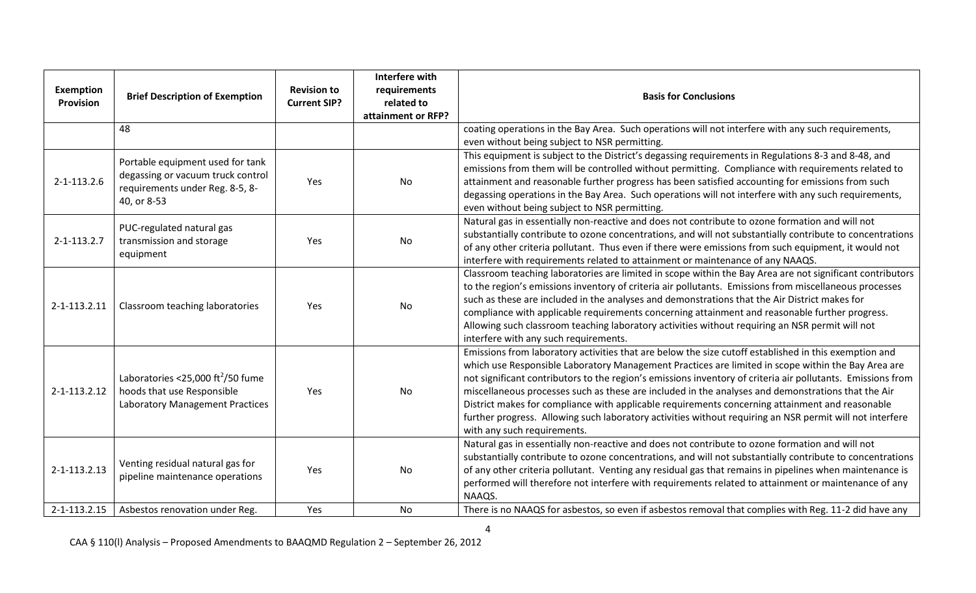| <b>Exemption</b><br>Provision | <b>Brief Description of Exemption</b>                                                                                   | <b>Revision to</b><br><b>Current SIP?</b> | Interfere with<br>requirements<br>related to<br>attainment or RFP? | <b>Basis for Conclusions</b>                                                                                                                                                                                                                                                                                                                                                                                                                                                                                                                                                                                                                                                   |
|-------------------------------|-------------------------------------------------------------------------------------------------------------------------|-------------------------------------------|--------------------------------------------------------------------|--------------------------------------------------------------------------------------------------------------------------------------------------------------------------------------------------------------------------------------------------------------------------------------------------------------------------------------------------------------------------------------------------------------------------------------------------------------------------------------------------------------------------------------------------------------------------------------------------------------------------------------------------------------------------------|
|                               | 48                                                                                                                      |                                           |                                                                    | coating operations in the Bay Area. Such operations will not interfere with any such requirements,<br>even without being subject to NSR permitting.                                                                                                                                                                                                                                                                                                                                                                                                                                                                                                                            |
| $2 - 1 - 113.2.6$             | Portable equipment used for tank<br>degassing or vacuum truck control<br>requirements under Reg. 8-5, 8-<br>40, or 8-53 | Yes                                       | No                                                                 | This equipment is subject to the District's degassing requirements in Regulations 8-3 and 8-48, and<br>emissions from them will be controlled without permitting. Compliance with requirements related to<br>attainment and reasonable further progress has been satisfied accounting for emissions from such<br>degassing operations in the Bay Area. Such operations will not interfere with any such requirements,<br>even without being subject to NSR permitting.                                                                                                                                                                                                         |
| $2 - 1 - 113.2.7$             | PUC-regulated natural gas<br>transmission and storage<br>equipment                                                      | Yes                                       | No                                                                 | Natural gas in essentially non-reactive and does not contribute to ozone formation and will not<br>substantially contribute to ozone concentrations, and will not substantially contribute to concentrations<br>of any other criteria pollutant. Thus even if there were emissions from such equipment, it would not<br>interfere with requirements related to attainment or maintenance of any NAAQS.                                                                                                                                                                                                                                                                         |
| 2-1-113.2.11                  | Classroom teaching laboratories                                                                                         | Yes                                       | No                                                                 | Classroom teaching laboratories are limited in scope within the Bay Area are not significant contributors<br>to the region's emissions inventory of criteria air pollutants. Emissions from miscellaneous processes<br>such as these are included in the analyses and demonstrations that the Air District makes for<br>compliance with applicable requirements concerning attainment and reasonable further progress.<br>Allowing such classroom teaching laboratory activities without requiring an NSR permit will not<br>interfere with any such requirements.                                                                                                             |
| 2-1-113.2.12                  | Laboratories <25,000 ft <sup>2</sup> /50 fume<br>hoods that use Responsible<br>Laboratory Management Practices          | Yes                                       | No                                                                 | Emissions from laboratory activities that are below the size cutoff established in this exemption and<br>which use Responsible Laboratory Management Practices are limited in scope within the Bay Area are<br>not significant contributors to the region's emissions inventory of criteria air pollutants. Emissions from<br>miscellaneous processes such as these are included in the analyses and demonstrations that the Air<br>District makes for compliance with applicable requirements concerning attainment and reasonable<br>further progress. Allowing such laboratory activities without requiring an NSR permit will not interfere<br>with any such requirements. |
| 2-1-113.2.13                  | Venting residual natural gas for<br>pipeline maintenance operations                                                     | Yes                                       | No                                                                 | Natural gas in essentially non-reactive and does not contribute to ozone formation and will not<br>substantially contribute to ozone concentrations, and will not substantially contribute to concentrations<br>of any other criteria pollutant. Venting any residual gas that remains in pipelines when maintenance is<br>performed will therefore not interfere with requirements related to attainment or maintenance of any<br>NAAQS.                                                                                                                                                                                                                                      |
| 2-1-113.2.15                  | Asbestos renovation under Reg.                                                                                          | Yes                                       | <b>No</b>                                                          | There is no NAAQS for asbestos, so even if asbestos removal that complies with Reg. 11-2 did have any                                                                                                                                                                                                                                                                                                                                                                                                                                                                                                                                                                          |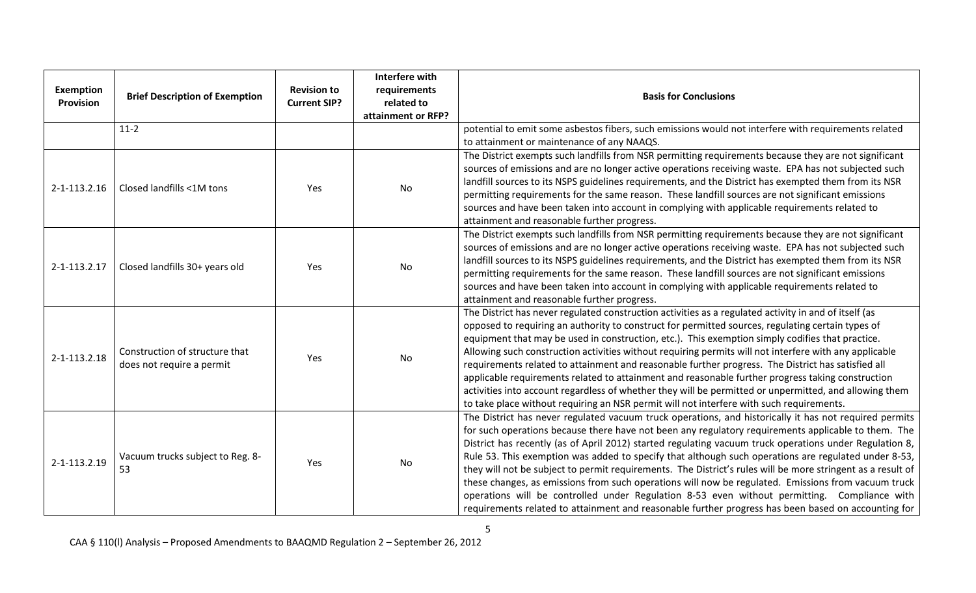| Exemption<br><b>Provision</b> | <b>Brief Description of Exemption</b>                       | <b>Revision to</b><br><b>Current SIP?</b> | Interfere with<br>requirements<br>related to<br>attainment or RFP? | <b>Basis for Conclusions</b>                                                                                                                                                                                                                                                                                                                                                                                                                                                                                                                                                                                                                                                                                                                                                                                                                                  |
|-------------------------------|-------------------------------------------------------------|-------------------------------------------|--------------------------------------------------------------------|---------------------------------------------------------------------------------------------------------------------------------------------------------------------------------------------------------------------------------------------------------------------------------------------------------------------------------------------------------------------------------------------------------------------------------------------------------------------------------------------------------------------------------------------------------------------------------------------------------------------------------------------------------------------------------------------------------------------------------------------------------------------------------------------------------------------------------------------------------------|
|                               | $11-2$                                                      |                                           |                                                                    | potential to emit some asbestos fibers, such emissions would not interfere with requirements related<br>to attainment or maintenance of any NAAQS.                                                                                                                                                                                                                                                                                                                                                                                                                                                                                                                                                                                                                                                                                                            |
| 2-1-113.2.16                  | Closed landfills <1M tons                                   | Yes                                       | No                                                                 | The District exempts such landfills from NSR permitting requirements because they are not significant<br>sources of emissions and are no longer active operations receiving waste. EPA has not subjected such<br>landfill sources to its NSPS guidelines requirements, and the District has exempted them from its NSR<br>permitting requirements for the same reason. These landfill sources are not significant emissions<br>sources and have been taken into account in complying with applicable requirements related to<br>attainment and reasonable further progress.                                                                                                                                                                                                                                                                                   |
| 2-1-113.2.17                  | Closed landfills 30+ years old                              | Yes                                       | No                                                                 | The District exempts such landfills from NSR permitting requirements because they are not significant<br>sources of emissions and are no longer active operations receiving waste. EPA has not subjected such<br>landfill sources to its NSPS guidelines requirements, and the District has exempted them from its NSR<br>permitting requirements for the same reason. These landfill sources are not significant emissions<br>sources and have been taken into account in complying with applicable requirements related to<br>attainment and reasonable further progress.                                                                                                                                                                                                                                                                                   |
| 2-1-113.2.18                  | Construction of structure that<br>does not require a permit | Yes                                       | No                                                                 | The District has never regulated construction activities as a regulated activity in and of itself (as<br>opposed to requiring an authority to construct for permitted sources, regulating certain types of<br>equipment that may be used in construction, etc.). This exemption simply codifies that practice.<br>Allowing such construction activities without requiring permits will not interfere with any applicable<br>requirements related to attainment and reasonable further progress. The District has satisfied all<br>applicable requirements related to attainment and reasonable further progress taking construction<br>activities into account regardless of whether they will be permitted or unpermitted, and allowing them<br>to take place without requiring an NSR permit will not interfere with such requirements.                     |
| 2-1-113.2.19                  | Vacuum trucks subject to Reg. 8-<br>53                      | Yes                                       | No                                                                 | The District has never regulated vacuum truck operations, and historically it has not required permits<br>for such operations because there have not been any regulatory requirements applicable to them. The<br>District has recently (as of April 2012) started regulating vacuum truck operations under Regulation 8,<br>Rule 53. This exemption was added to specify that although such operations are regulated under 8-53,<br>they will not be subject to permit requirements. The District's rules will be more stringent as a result of<br>these changes, as emissions from such operations will now be regulated. Emissions from vacuum truck<br>operations will be controlled under Regulation 8-53 even without permitting. Compliance with<br>requirements related to attainment and reasonable further progress has been based on accounting for |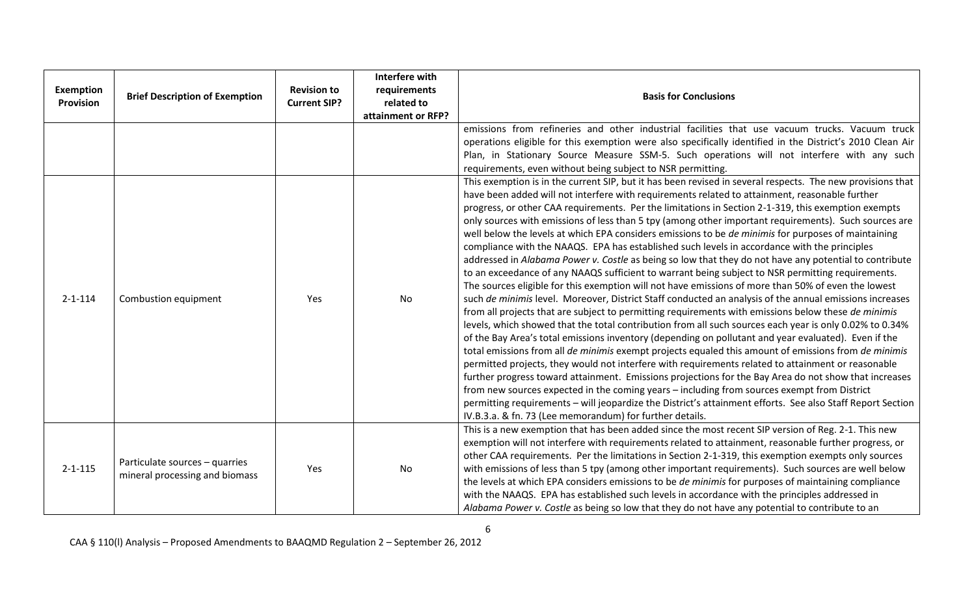| <b>Exemption</b><br><b>Provision</b> | <b>Brief Description of Exemption</b>                            | <b>Revision to</b><br><b>Current SIP?</b> | Interfere with<br>requirements<br>related to<br>attainment or RFP? | <b>Basis for Conclusions</b>                                                                                                                                                                                                                                                                                                                                                                                                                                                                                                                                                                                                                                                                                                                                                                                                                                                                                                                                                                                                                                                                                                                                                                                                                                                                                                                                                                                                                                                                                                                                                                                                                                                                                                                                                                                                                                                                                                                                                                   |
|--------------------------------------|------------------------------------------------------------------|-------------------------------------------|--------------------------------------------------------------------|------------------------------------------------------------------------------------------------------------------------------------------------------------------------------------------------------------------------------------------------------------------------------------------------------------------------------------------------------------------------------------------------------------------------------------------------------------------------------------------------------------------------------------------------------------------------------------------------------------------------------------------------------------------------------------------------------------------------------------------------------------------------------------------------------------------------------------------------------------------------------------------------------------------------------------------------------------------------------------------------------------------------------------------------------------------------------------------------------------------------------------------------------------------------------------------------------------------------------------------------------------------------------------------------------------------------------------------------------------------------------------------------------------------------------------------------------------------------------------------------------------------------------------------------------------------------------------------------------------------------------------------------------------------------------------------------------------------------------------------------------------------------------------------------------------------------------------------------------------------------------------------------------------------------------------------------------------------------------------------------|
|                                      |                                                                  |                                           |                                                                    | emissions from refineries and other industrial facilities that use vacuum trucks. Vacuum truck<br>operations eligible for this exemption were also specifically identified in the District's 2010 Clean Air<br>Plan, in Stationary Source Measure SSM-5. Such operations will not interfere with any such<br>requirements, even without being subject to NSR permitting.                                                                                                                                                                                                                                                                                                                                                                                                                                                                                                                                                                                                                                                                                                                                                                                                                                                                                                                                                                                                                                                                                                                                                                                                                                                                                                                                                                                                                                                                                                                                                                                                                       |
| $2 - 1 - 114$                        | Combustion equipment                                             | Yes                                       | No                                                                 | This exemption is in the current SIP, but it has been revised in several respects. The new provisions that<br>have been added will not interfere with requirements related to attainment, reasonable further<br>progress, or other CAA requirements. Per the limitations in Section 2-1-319, this exemption exempts<br>only sources with emissions of less than 5 tpy (among other important requirements). Such sources are<br>well below the levels at which EPA considers emissions to be de minimis for purposes of maintaining<br>compliance with the NAAQS. EPA has established such levels in accordance with the principles<br>addressed in Alabama Power v. Costle as being so low that they do not have any potential to contribute<br>to an exceedance of any NAAQS sufficient to warrant being subject to NSR permitting requirements.<br>The sources eligible for this exemption will not have emissions of more than 50% of even the lowest<br>such de minimis level. Moreover, District Staff conducted an analysis of the annual emissions increases<br>from all projects that are subject to permitting requirements with emissions below these de minimis<br>levels, which showed that the total contribution from all such sources each year is only 0.02% to 0.34%<br>of the Bay Area's total emissions inventory (depending on pollutant and year evaluated). Even if the<br>total emissions from all de minimis exempt projects equaled this amount of emissions from de minimis<br>permitted projects, they would not interfere with requirements related to attainment or reasonable<br>further progress toward attainment. Emissions projections for the Bay Area do not show that increases<br>from new sources expected in the coming years - including from sources exempt from District<br>permitting requirements - will jeopardize the District's attainment efforts. See also Staff Report Section<br>IV.B.3.a. & fn. 73 (Lee memorandum) for further details. |
| $2 - 1 - 115$                        | Particulate sources - quarries<br>mineral processing and biomass | Yes                                       | No                                                                 | This is a new exemption that has been added since the most recent SIP version of Reg. 2-1. This new<br>exemption will not interfere with requirements related to attainment, reasonable further progress, or<br>other CAA requirements. Per the limitations in Section 2-1-319, this exemption exempts only sources<br>with emissions of less than 5 tpy (among other important requirements). Such sources are well below<br>the levels at which EPA considers emissions to be <i>de minimis</i> for purposes of maintaining compliance<br>with the NAAQS. EPA has established such levels in accordance with the principles addressed in<br>Alabama Power v. Costle as being so low that they do not have any potential to contribute to an                                                                                                                                                                                                                                                                                                                                                                                                                                                                                                                                                                                                                                                                                                                                                                                                                                                                                                                                                                                                                                                                                                                                                                                                                                                  |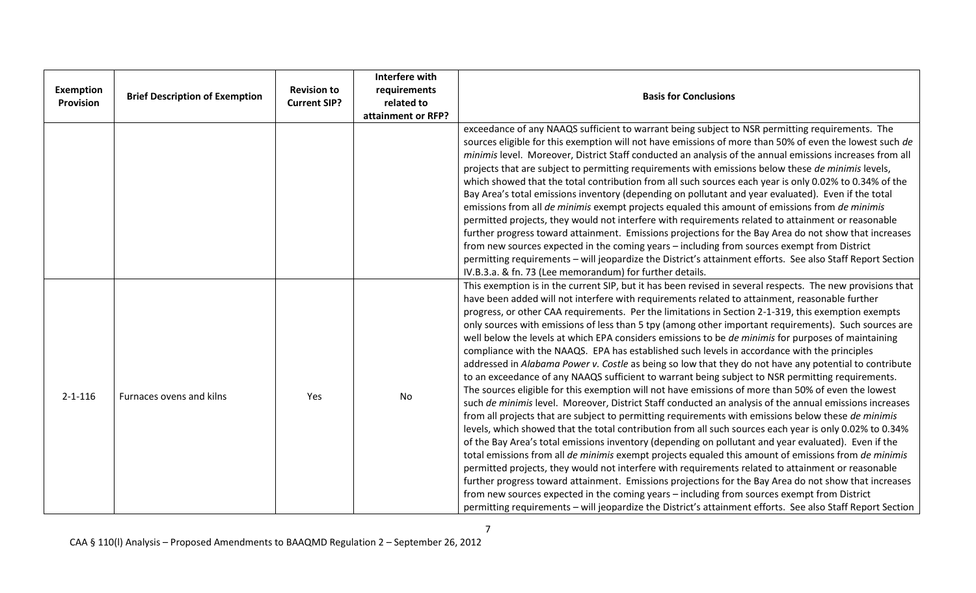| <b>Exemption</b><br>Provision | <b>Brief Description of Exemption</b> | <b>Revision to</b><br><b>Current SIP?</b> | Interfere with<br>requirements<br>related to<br>attainment or RFP? | <b>Basis for Conclusions</b>                                                                                                                                                                                                                                                                                                                                                                                                                                                                                                                                                                                                                                                                                                                                                                                                                                                                                                                                                                                                                                                                                                                                                                                                                                                                                                                                                                                                                                                                                                                                                                                                                                                                                                                                                                                                                                                                                                              |
|-------------------------------|---------------------------------------|-------------------------------------------|--------------------------------------------------------------------|-------------------------------------------------------------------------------------------------------------------------------------------------------------------------------------------------------------------------------------------------------------------------------------------------------------------------------------------------------------------------------------------------------------------------------------------------------------------------------------------------------------------------------------------------------------------------------------------------------------------------------------------------------------------------------------------------------------------------------------------------------------------------------------------------------------------------------------------------------------------------------------------------------------------------------------------------------------------------------------------------------------------------------------------------------------------------------------------------------------------------------------------------------------------------------------------------------------------------------------------------------------------------------------------------------------------------------------------------------------------------------------------------------------------------------------------------------------------------------------------------------------------------------------------------------------------------------------------------------------------------------------------------------------------------------------------------------------------------------------------------------------------------------------------------------------------------------------------------------------------------------------------------------------------------------------------|
|                               |                                       |                                           |                                                                    | exceedance of any NAAQS sufficient to warrant being subject to NSR permitting requirements. The<br>sources eligible for this exemption will not have emissions of more than 50% of even the lowest such de<br>minimis level. Moreover, District Staff conducted an analysis of the annual emissions increases from all<br>projects that are subject to permitting requirements with emissions below these de minimis levels,<br>which showed that the total contribution from all such sources each year is only 0.02% to 0.34% of the<br>Bay Area's total emissions inventory (depending on pollutant and year evaluated). Even if the total<br>emissions from all de minimis exempt projects equaled this amount of emissions from de minimis<br>permitted projects, they would not interfere with requirements related to attainment or reasonable<br>further progress toward attainment. Emissions projections for the Bay Area do not show that increases<br>from new sources expected in the coming years - including from sources exempt from District<br>permitting requirements - will jeopardize the District's attainment efforts. See also Staff Report Section<br>IV.B.3.a. & fn. 73 (Lee memorandum) for further details.                                                                                                                                                                                                                                                                                                                                                                                                                                                                                                                                                                                                                                                                                                   |
| $2 - 1 - 116$                 | Furnaces ovens and kilns              | Yes                                       | No                                                                 | This exemption is in the current SIP, but it has been revised in several respects. The new provisions that<br>have been added will not interfere with requirements related to attainment, reasonable further<br>progress, or other CAA requirements. Per the limitations in Section 2-1-319, this exemption exempts<br>only sources with emissions of less than 5 tpy (among other important requirements). Such sources are<br>well below the levels at which EPA considers emissions to be <i>de minimis</i> for purposes of maintaining<br>compliance with the NAAQS. EPA has established such levels in accordance with the principles<br>addressed in Alabama Power v. Costle as being so low that they do not have any potential to contribute<br>to an exceedance of any NAAQS sufficient to warrant being subject to NSR permitting requirements.<br>The sources eligible for this exemption will not have emissions of more than 50% of even the lowest<br>such de minimis level. Moreover, District Staff conducted an analysis of the annual emissions increases<br>from all projects that are subject to permitting requirements with emissions below these de minimis<br>levels, which showed that the total contribution from all such sources each year is only 0.02% to 0.34%<br>of the Bay Area's total emissions inventory (depending on pollutant and year evaluated). Even if the<br>total emissions from all de minimis exempt projects equaled this amount of emissions from de minimis<br>permitted projects, they would not interfere with requirements related to attainment or reasonable<br>further progress toward attainment. Emissions projections for the Bay Area do not show that increases<br>from new sources expected in the coming years - including from sources exempt from District<br>permitting requirements - will jeopardize the District's attainment efforts. See also Staff Report Section |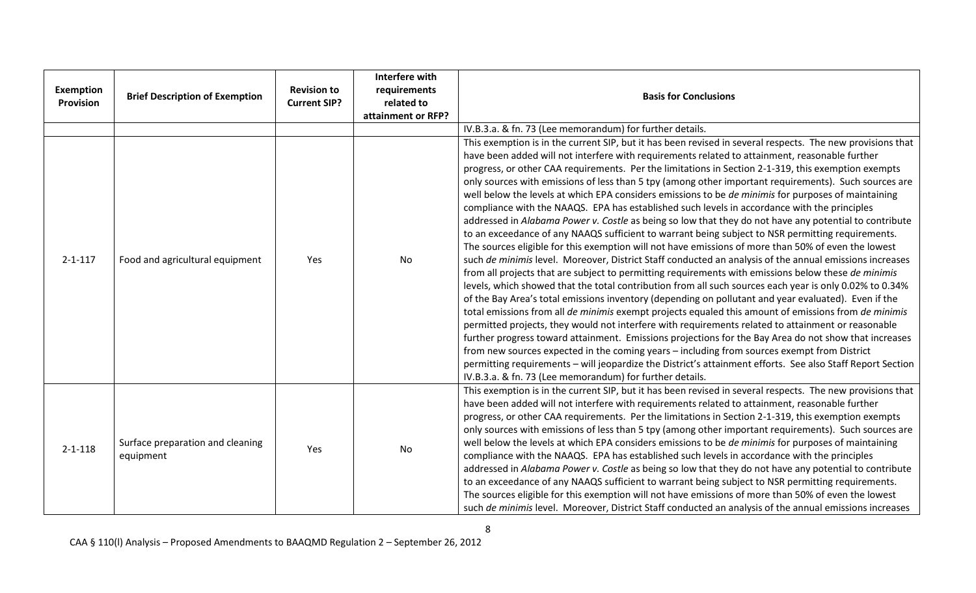| <b>Exemption</b><br><b>Provision</b> | <b>Brief Description of Exemption</b>         | <b>Revision to</b><br><b>Current SIP?</b> | Interfere with<br>requirements<br>related to<br>attainment or RFP? | <b>Basis for Conclusions</b>                                                                                                                                                                                                                                                                                                                                                                                                                                                                                                                                                                                                                                                                                                                                                                                                                                                                                                                                                                                                                                                                                                                                                                                                                                                                                                                                                                                                                                                                                                                                                                                                                                                                                                                                                                                                                                                                                                                                                                          |
|--------------------------------------|-----------------------------------------------|-------------------------------------------|--------------------------------------------------------------------|-------------------------------------------------------------------------------------------------------------------------------------------------------------------------------------------------------------------------------------------------------------------------------------------------------------------------------------------------------------------------------------------------------------------------------------------------------------------------------------------------------------------------------------------------------------------------------------------------------------------------------------------------------------------------------------------------------------------------------------------------------------------------------------------------------------------------------------------------------------------------------------------------------------------------------------------------------------------------------------------------------------------------------------------------------------------------------------------------------------------------------------------------------------------------------------------------------------------------------------------------------------------------------------------------------------------------------------------------------------------------------------------------------------------------------------------------------------------------------------------------------------------------------------------------------------------------------------------------------------------------------------------------------------------------------------------------------------------------------------------------------------------------------------------------------------------------------------------------------------------------------------------------------------------------------------------------------------------------------------------------------|
|                                      |                                               |                                           |                                                                    | IV.B.3.a. & fn. 73 (Lee memorandum) for further details.                                                                                                                                                                                                                                                                                                                                                                                                                                                                                                                                                                                                                                                                                                                                                                                                                                                                                                                                                                                                                                                                                                                                                                                                                                                                                                                                                                                                                                                                                                                                                                                                                                                                                                                                                                                                                                                                                                                                              |
| $2 - 1 - 117$                        | Food and agricultural equipment               | Yes                                       | No                                                                 | This exemption is in the current SIP, but it has been revised in several respects. The new provisions that<br>have been added will not interfere with requirements related to attainment, reasonable further<br>progress, or other CAA requirements. Per the limitations in Section 2-1-319, this exemption exempts<br>only sources with emissions of less than 5 tpy (among other important requirements). Such sources are<br>well below the levels at which EPA considers emissions to be <i>de minimis</i> for purposes of maintaining<br>compliance with the NAAQS. EPA has established such levels in accordance with the principles<br>addressed in Alabama Power v. Costle as being so low that they do not have any potential to contribute<br>to an exceedance of any NAAQS sufficient to warrant being subject to NSR permitting requirements.<br>The sources eligible for this exemption will not have emissions of more than 50% of even the lowest<br>such de minimis level. Moreover, District Staff conducted an analysis of the annual emissions increases<br>from all projects that are subject to permitting requirements with emissions below these de minimis<br>levels, which showed that the total contribution from all such sources each year is only 0.02% to 0.34%<br>of the Bay Area's total emissions inventory (depending on pollutant and year evaluated). Even if the<br>total emissions from all de minimis exempt projects equaled this amount of emissions from de minimis<br>permitted projects, they would not interfere with requirements related to attainment or reasonable<br>further progress toward attainment. Emissions projections for the Bay Area do not show that increases<br>from new sources expected in the coming years - including from sources exempt from District<br>permitting requirements - will jeopardize the District's attainment efforts. See also Staff Report Section<br>IV.B.3.a. & fn. 73 (Lee memorandum) for further details. |
| $2 - 1 - 118$                        | Surface preparation and cleaning<br>equipment | Yes                                       | No                                                                 | This exemption is in the current SIP, but it has been revised in several respects. The new provisions that<br>have been added will not interfere with requirements related to attainment, reasonable further<br>progress, or other CAA requirements. Per the limitations in Section 2-1-319, this exemption exempts<br>only sources with emissions of less than 5 tpy (among other important requirements). Such sources are<br>well below the levels at which EPA considers emissions to be de minimis for purposes of maintaining<br>compliance with the NAAQS. EPA has established such levels in accordance with the principles<br>addressed in Alabama Power v. Costle as being so low that they do not have any potential to contribute<br>to an exceedance of any NAAQS sufficient to warrant being subject to NSR permitting requirements.<br>The sources eligible for this exemption will not have emissions of more than 50% of even the lowest<br>such de minimis level. Moreover, District Staff conducted an analysis of the annual emissions increases                                                                                                                                                                                                                                                                                                                                                                                                                                                                                                                                                                                                                                                                                                                                                                                                                                                                                                                                  |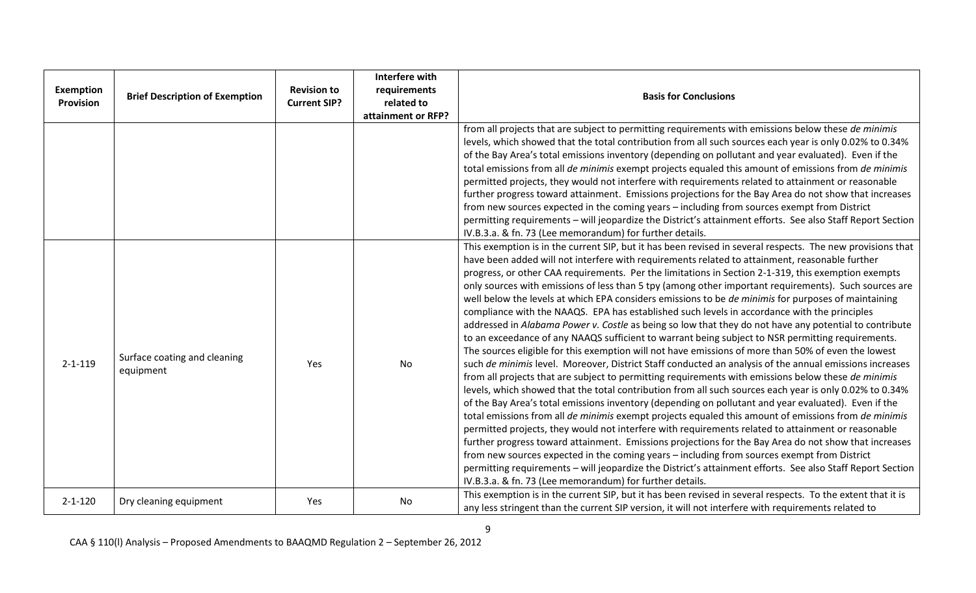| <b>Exemption</b><br><b>Provision</b> | <b>Brief Description of Exemption</b>     | <b>Revision to</b><br><b>Current SIP?</b> | Interfere with<br>requirements<br>related to<br>attainment or RFP? | <b>Basis for Conclusions</b>                                                                                                                                                                                                                                                                                                                                                                                                                                                                                                                                                                                                                                                                                                                                                                                                                                                                                                                                                                                                                                                                                                                                                                                                                                                                                                                                                                                                                                                                                                                                                                                                                                                                                                                                                                                                                                                                                                                                                                          |
|--------------------------------------|-------------------------------------------|-------------------------------------------|--------------------------------------------------------------------|-------------------------------------------------------------------------------------------------------------------------------------------------------------------------------------------------------------------------------------------------------------------------------------------------------------------------------------------------------------------------------------------------------------------------------------------------------------------------------------------------------------------------------------------------------------------------------------------------------------------------------------------------------------------------------------------------------------------------------------------------------------------------------------------------------------------------------------------------------------------------------------------------------------------------------------------------------------------------------------------------------------------------------------------------------------------------------------------------------------------------------------------------------------------------------------------------------------------------------------------------------------------------------------------------------------------------------------------------------------------------------------------------------------------------------------------------------------------------------------------------------------------------------------------------------------------------------------------------------------------------------------------------------------------------------------------------------------------------------------------------------------------------------------------------------------------------------------------------------------------------------------------------------------------------------------------------------------------------------------------------------|
|                                      |                                           |                                           |                                                                    | from all projects that are subject to permitting requirements with emissions below these de minimis<br>levels, which showed that the total contribution from all such sources each year is only 0.02% to 0.34%<br>of the Bay Area's total emissions inventory (depending on pollutant and year evaluated). Even if the<br>total emissions from all de minimis exempt projects equaled this amount of emissions from de minimis<br>permitted projects, they would not interfere with requirements related to attainment or reasonable<br>further progress toward attainment. Emissions projections for the Bay Area do not show that increases<br>from new sources expected in the coming years - including from sources exempt from District<br>permitting requirements - will jeopardize the District's attainment efforts. See also Staff Report Section<br>IV.B.3.a. & fn. 73 (Lee memorandum) for further details.                                                                                                                                                                                                                                                                                                                                                                                                                                                                                                                                                                                                                                                                                                                                                                                                                                                                                                                                                                                                                                                                                |
| $2 - 1 - 119$                        | Surface coating and cleaning<br>equipment | Yes                                       | No                                                                 | This exemption is in the current SIP, but it has been revised in several respects. The new provisions that<br>have been added will not interfere with requirements related to attainment, reasonable further<br>progress, or other CAA requirements. Per the limitations in Section 2-1-319, this exemption exempts<br>only sources with emissions of less than 5 tpy (among other important requirements). Such sources are<br>well below the levels at which EPA considers emissions to be <i>de minimis</i> for purposes of maintaining<br>compliance with the NAAQS. EPA has established such levels in accordance with the principles<br>addressed in Alabama Power v. Costle as being so low that they do not have any potential to contribute<br>to an exceedance of any NAAQS sufficient to warrant being subject to NSR permitting requirements.<br>The sources eligible for this exemption will not have emissions of more than 50% of even the lowest<br>such de minimis level. Moreover, District Staff conducted an analysis of the annual emissions increases<br>from all projects that are subject to permitting requirements with emissions below these de minimis<br>levels, which showed that the total contribution from all such sources each year is only 0.02% to 0.34%<br>of the Bay Area's total emissions inventory (depending on pollutant and year evaluated). Even if the<br>total emissions from all de minimis exempt projects equaled this amount of emissions from de minimis<br>permitted projects, they would not interfere with requirements related to attainment or reasonable<br>further progress toward attainment. Emissions projections for the Bay Area do not show that increases<br>from new sources expected in the coming years - including from sources exempt from District<br>permitting requirements - will jeopardize the District's attainment efforts. See also Staff Report Section<br>IV.B.3.a. & fn. 73 (Lee memorandum) for further details. |
| $2 - 1 - 120$                        | Dry cleaning equipment                    | Yes                                       | <b>No</b>                                                          | This exemption is in the current SIP, but it has been revised in several respects. To the extent that it is<br>any less stringent than the current SIP version, it will not interfere with requirements related to                                                                                                                                                                                                                                                                                                                                                                                                                                                                                                                                                                                                                                                                                                                                                                                                                                                                                                                                                                                                                                                                                                                                                                                                                                                                                                                                                                                                                                                                                                                                                                                                                                                                                                                                                                                    |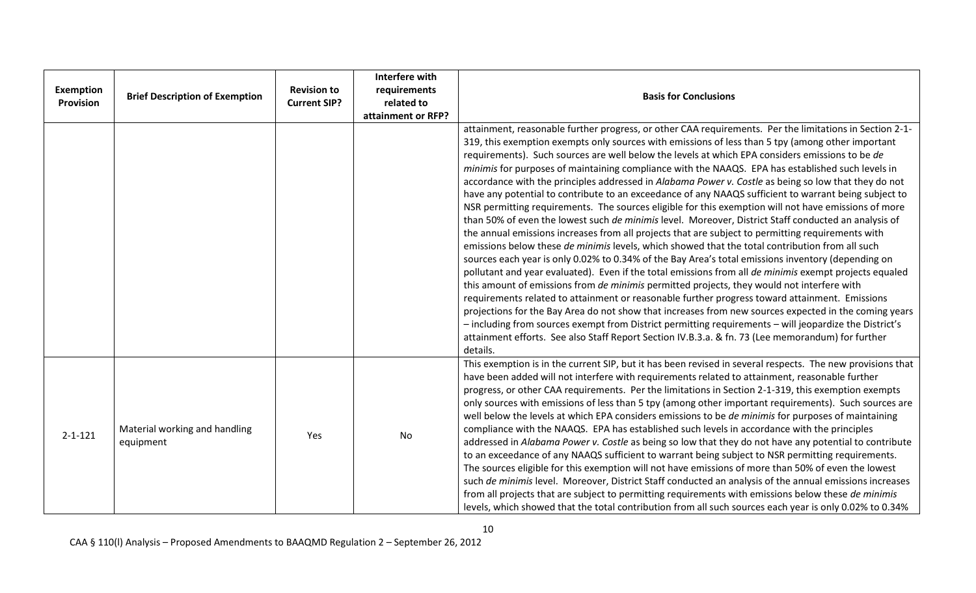| <b>Exemption</b><br><b>Provision</b> | <b>Brief Description of Exemption</b>      | <b>Revision to</b><br><b>Current SIP?</b> | Interfere with<br>requirements<br>related to<br>attainment or RFP? | <b>Basis for Conclusions</b>                                                                                                                                                                                                                                                                                                                                                                                                                                                                                                                                                                                                                                                                                                                                                                                                                                                                                                                                                                                                                                                                                                                                                                                                                                                                                                                                                                                                                                                                                                                                                                                                                                                                                                                                                                                             |
|--------------------------------------|--------------------------------------------|-------------------------------------------|--------------------------------------------------------------------|--------------------------------------------------------------------------------------------------------------------------------------------------------------------------------------------------------------------------------------------------------------------------------------------------------------------------------------------------------------------------------------------------------------------------------------------------------------------------------------------------------------------------------------------------------------------------------------------------------------------------------------------------------------------------------------------------------------------------------------------------------------------------------------------------------------------------------------------------------------------------------------------------------------------------------------------------------------------------------------------------------------------------------------------------------------------------------------------------------------------------------------------------------------------------------------------------------------------------------------------------------------------------------------------------------------------------------------------------------------------------------------------------------------------------------------------------------------------------------------------------------------------------------------------------------------------------------------------------------------------------------------------------------------------------------------------------------------------------------------------------------------------------------------------------------------------------|
|                                      |                                            |                                           |                                                                    | attainment, reasonable further progress, or other CAA requirements. Per the limitations in Section 2-1-<br>319, this exemption exempts only sources with emissions of less than 5 tpy (among other important<br>requirements). Such sources are well below the levels at which EPA considers emissions to be de<br>minimis for purposes of maintaining compliance with the NAAQS. EPA has established such levels in<br>accordance with the principles addressed in Alabama Power v. Costle as being so low that they do not<br>have any potential to contribute to an exceedance of any NAAQS sufficient to warrant being subject to<br>NSR permitting requirements. The sources eligible for this exemption will not have emissions of more<br>than 50% of even the lowest such de minimis level. Moreover, District Staff conducted an analysis of<br>the annual emissions increases from all projects that are subject to permitting requirements with<br>emissions below these de minimis levels, which showed that the total contribution from all such<br>sources each year is only 0.02% to 0.34% of the Bay Area's total emissions inventory (depending on<br>pollutant and year evaluated). Even if the total emissions from all <i>de minimis</i> exempt projects equaled<br>this amount of emissions from de minimis permitted projects, they would not interfere with<br>requirements related to attainment or reasonable further progress toward attainment. Emissions<br>projections for the Bay Area do not show that increases from new sources expected in the coming years<br>- including from sources exempt from District permitting requirements - will jeopardize the District's<br>attainment efforts. See also Staff Report Section IV.B.3.a. & fn. 73 (Lee memorandum) for further<br>details. |
| $2 - 1 - 121$                        | Material working and handling<br>equipment | Yes                                       | No                                                                 | This exemption is in the current SIP, but it has been revised in several respects. The new provisions that<br>have been added will not interfere with requirements related to attainment, reasonable further<br>progress, or other CAA requirements. Per the limitations in Section 2-1-319, this exemption exempts<br>only sources with emissions of less than 5 tpy (among other important requirements). Such sources are<br>well below the levels at which EPA considers emissions to be de minimis for purposes of maintaining<br>compliance with the NAAQS. EPA has established such levels in accordance with the principles<br>addressed in Alabama Power v. Costle as being so low that they do not have any potential to contribute<br>to an exceedance of any NAAQS sufficient to warrant being subject to NSR permitting requirements.<br>The sources eligible for this exemption will not have emissions of more than 50% of even the lowest<br>such de minimis level. Moreover, District Staff conducted an analysis of the annual emissions increases<br>from all projects that are subject to permitting requirements with emissions below these de minimis<br>levels, which showed that the total contribution from all such sources each year is only 0.02% to 0.34%                                                                                                                                                                                                                                                                                                                                                                                                                                                                                                                                   |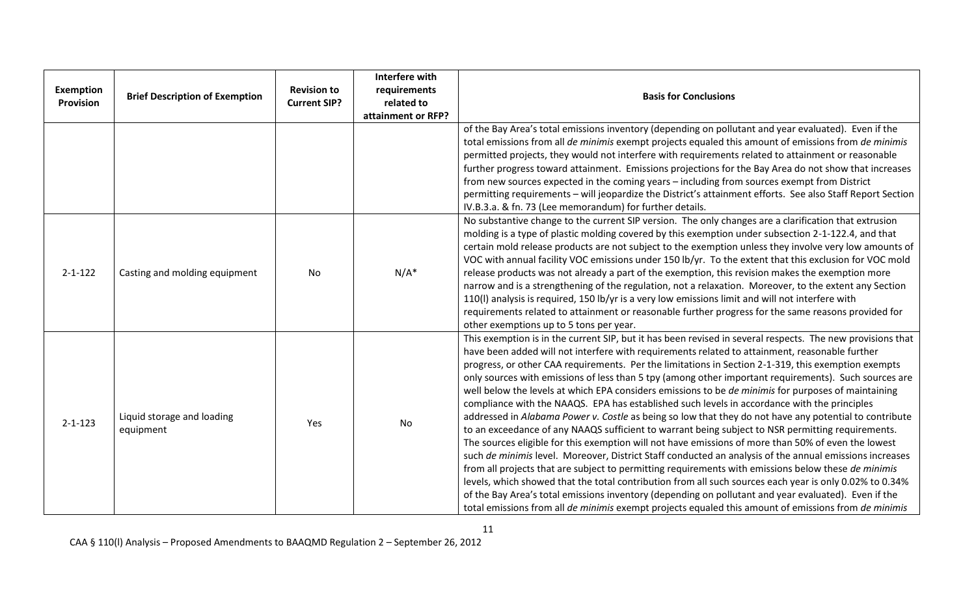| Exemption<br><b>Provision</b> | <b>Brief Description of Exemption</b>   | <b>Revision to</b><br><b>Current SIP?</b> | <b>Interfere with</b><br>requirements<br>related to<br>attainment or RFP? | <b>Basis for Conclusions</b>                                                                                                                                                                                                                                                                                                                                                                                                                                                                                                                                                                                                                                                                                                                                                                                                                                                                                                                                                                                                                                                                                                                                                                                                                                                                                                                                                                                                                                                                           |
|-------------------------------|-----------------------------------------|-------------------------------------------|---------------------------------------------------------------------------|--------------------------------------------------------------------------------------------------------------------------------------------------------------------------------------------------------------------------------------------------------------------------------------------------------------------------------------------------------------------------------------------------------------------------------------------------------------------------------------------------------------------------------------------------------------------------------------------------------------------------------------------------------------------------------------------------------------------------------------------------------------------------------------------------------------------------------------------------------------------------------------------------------------------------------------------------------------------------------------------------------------------------------------------------------------------------------------------------------------------------------------------------------------------------------------------------------------------------------------------------------------------------------------------------------------------------------------------------------------------------------------------------------------------------------------------------------------------------------------------------------|
|                               |                                         |                                           |                                                                           | of the Bay Area's total emissions inventory (depending on pollutant and year evaluated). Even if the<br>total emissions from all de minimis exempt projects equaled this amount of emissions from de minimis<br>permitted projects, they would not interfere with requirements related to attainment or reasonable<br>further progress toward attainment. Emissions projections for the Bay Area do not show that increases<br>from new sources expected in the coming years - including from sources exempt from District<br>permitting requirements - will jeopardize the District's attainment efforts. See also Staff Report Section<br>IV.B.3.a. & fn. 73 (Lee memorandum) for further details.                                                                                                                                                                                                                                                                                                                                                                                                                                                                                                                                                                                                                                                                                                                                                                                                   |
| $2 - 1 - 122$                 | Casting and molding equipment           | No                                        | $N/A^*$                                                                   | No substantive change to the current SIP version. The only changes are a clarification that extrusion<br>molding is a type of plastic molding covered by this exemption under subsection 2-1-122.4, and that<br>certain mold release products are not subject to the exemption unless they involve very low amounts of<br>VOC with annual facility VOC emissions under 150 lb/yr. To the extent that this exclusion for VOC mold<br>release products was not already a part of the exemption, this revision makes the exemption more<br>narrow and is a strengthening of the regulation, not a relaxation. Moreover, to the extent any Section<br>110(I) analysis is required, 150 lb/yr is a very low emissions limit and will not interfere with<br>requirements related to attainment or reasonable further progress for the same reasons provided for<br>other exemptions up to 5 tons per year.                                                                                                                                                                                                                                                                                                                                                                                                                                                                                                                                                                                                   |
| $2 - 1 - 123$                 | Liquid storage and loading<br>equipment | Yes                                       | No                                                                        | This exemption is in the current SIP, but it has been revised in several respects. The new provisions that<br>have been added will not interfere with requirements related to attainment, reasonable further<br>progress, or other CAA requirements. Per the limitations in Section 2-1-319, this exemption exempts<br>only sources with emissions of less than 5 tpy (among other important requirements). Such sources are<br>well below the levels at which EPA considers emissions to be de minimis for purposes of maintaining<br>compliance with the NAAQS. EPA has established such levels in accordance with the principles<br>addressed in Alabama Power v. Costle as being so low that they do not have any potential to contribute<br>to an exceedance of any NAAQS sufficient to warrant being subject to NSR permitting requirements.<br>The sources eligible for this exemption will not have emissions of more than 50% of even the lowest<br>such de minimis level. Moreover, District Staff conducted an analysis of the annual emissions increases<br>from all projects that are subject to permitting requirements with emissions below these de minimis<br>levels, which showed that the total contribution from all such sources each year is only 0.02% to 0.34%<br>of the Bay Area's total emissions inventory (depending on pollutant and year evaluated). Even if the<br>total emissions from all de minimis exempt projects equaled this amount of emissions from de minimis |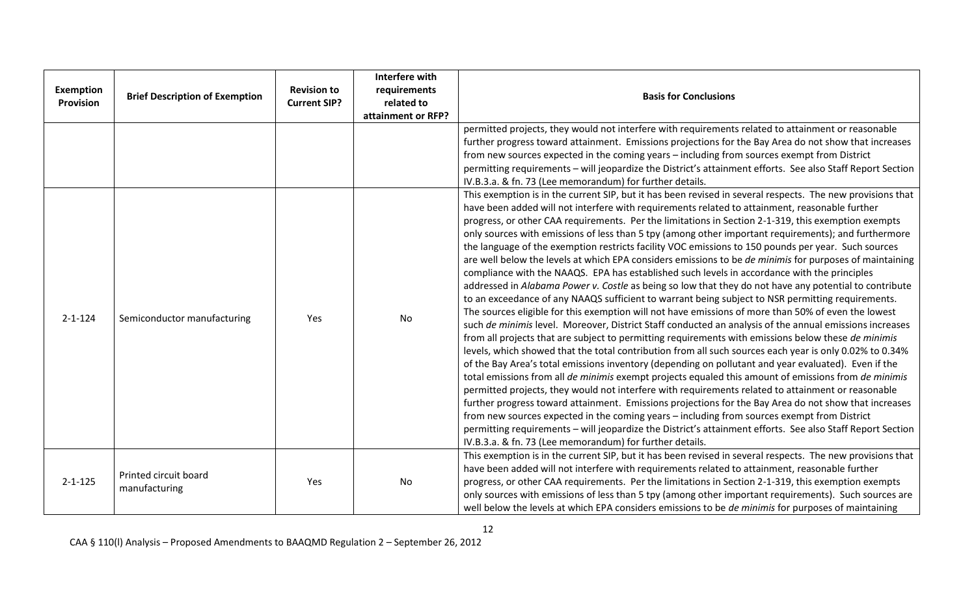| <b>Exemption</b><br><b>Provision</b> | <b>Brief Description of Exemption</b>  | <b>Revision to</b><br><b>Current SIP?</b> | <b>Interfere with</b><br>requirements<br>related to<br>attainment or RFP? | <b>Basis for Conclusions</b>                                                                                                                                                                                                                                                                                                                                                                                                                                                                                                                                                                                                                                                                                                                                                                                                                                                                                                                                                                                                                                                                                                                                                                                                                                                                                                                                                                                                                                                                                                                                                                                                                                                                                                                                                                                                                                                                                                                                                                      |
|--------------------------------------|----------------------------------------|-------------------------------------------|---------------------------------------------------------------------------|---------------------------------------------------------------------------------------------------------------------------------------------------------------------------------------------------------------------------------------------------------------------------------------------------------------------------------------------------------------------------------------------------------------------------------------------------------------------------------------------------------------------------------------------------------------------------------------------------------------------------------------------------------------------------------------------------------------------------------------------------------------------------------------------------------------------------------------------------------------------------------------------------------------------------------------------------------------------------------------------------------------------------------------------------------------------------------------------------------------------------------------------------------------------------------------------------------------------------------------------------------------------------------------------------------------------------------------------------------------------------------------------------------------------------------------------------------------------------------------------------------------------------------------------------------------------------------------------------------------------------------------------------------------------------------------------------------------------------------------------------------------------------------------------------------------------------------------------------------------------------------------------------------------------------------------------------------------------------------------------------|
|                                      |                                        |                                           |                                                                           | permitted projects, they would not interfere with requirements related to attainment or reasonable<br>further progress toward attainment. Emissions projections for the Bay Area do not show that increases<br>from new sources expected in the coming years - including from sources exempt from District<br>permitting requirements - will jeopardize the District's attainment efforts. See also Staff Report Section<br>IV.B.3.a. & fn. 73 (Lee memorandum) for further details.<br>This exemption is in the current SIP, but it has been revised in several respects. The new provisions that                                                                                                                                                                                                                                                                                                                                                                                                                                                                                                                                                                                                                                                                                                                                                                                                                                                                                                                                                                                                                                                                                                                                                                                                                                                                                                                                                                                                |
| $2 - 1 - 124$                        | Semiconductor manufacturing            | Yes                                       | No                                                                        | have been added will not interfere with requirements related to attainment, reasonable further<br>progress, or other CAA requirements. Per the limitations in Section 2-1-319, this exemption exempts<br>only sources with emissions of less than 5 tpy (among other important requirements); and furthermore<br>the language of the exemption restricts facility VOC emissions to 150 pounds per year. Such sources<br>are well below the levels at which EPA considers emissions to be <i>de minimis</i> for purposes of maintaining<br>compliance with the NAAQS. EPA has established such levels in accordance with the principles<br>addressed in Alabama Power v. Costle as being so low that they do not have any potential to contribute<br>to an exceedance of any NAAQS sufficient to warrant being subject to NSR permitting requirements.<br>The sources eligible for this exemption will not have emissions of more than 50% of even the lowest<br>such de minimis level. Moreover, District Staff conducted an analysis of the annual emissions increases<br>from all projects that are subject to permitting requirements with emissions below these de minimis<br>levels, which showed that the total contribution from all such sources each year is only 0.02% to 0.34%<br>of the Bay Area's total emissions inventory (depending on pollutant and year evaluated). Even if the<br>total emissions from all de minimis exempt projects equaled this amount of emissions from de minimis<br>permitted projects, they would not interfere with requirements related to attainment or reasonable<br>further progress toward attainment. Emissions projections for the Bay Area do not show that increases<br>from new sources expected in the coming years - including from sources exempt from District<br>permitting requirements - will jeopardize the District's attainment efforts. See also Staff Report Section<br>IV.B.3.a. & fn. 73 (Lee memorandum) for further details. |
| $2 - 1 - 125$                        | Printed circuit board<br>manufacturing | Yes                                       | No                                                                        | This exemption is in the current SIP, but it has been revised in several respects. The new provisions that<br>have been added will not interfere with requirements related to attainment, reasonable further<br>progress, or other CAA requirements. Per the limitations in Section 2-1-319, this exemption exempts<br>only sources with emissions of less than 5 tpy (among other important requirements). Such sources are<br>well below the levels at which EPA considers emissions to be <i>de minimis</i> for purposes of maintaining                                                                                                                                                                                                                                                                                                                                                                                                                                                                                                                                                                                                                                                                                                                                                                                                                                                                                                                                                                                                                                                                                                                                                                                                                                                                                                                                                                                                                                                        |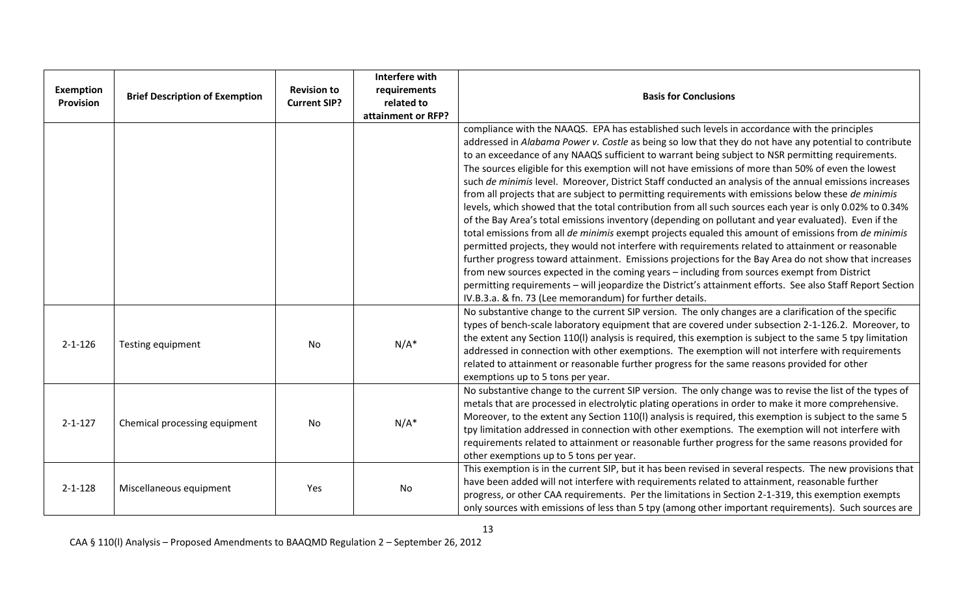| <b>Exemption</b><br><b>Provision</b> | <b>Brief Description of Exemption</b> | <b>Revision to</b><br><b>Current SIP?</b> | Interfere with<br>requirements<br>related to<br>attainment or RFP? | <b>Basis for Conclusions</b>                                                                                                                                                                                                                                                                                                                                                                                                                                                                                                                                                                                                                                                                                                                                                                                                                                                                                                                                                                                                                                                                                                                                                                                                                                                                                                                                                                                                                            |
|--------------------------------------|---------------------------------------|-------------------------------------------|--------------------------------------------------------------------|---------------------------------------------------------------------------------------------------------------------------------------------------------------------------------------------------------------------------------------------------------------------------------------------------------------------------------------------------------------------------------------------------------------------------------------------------------------------------------------------------------------------------------------------------------------------------------------------------------------------------------------------------------------------------------------------------------------------------------------------------------------------------------------------------------------------------------------------------------------------------------------------------------------------------------------------------------------------------------------------------------------------------------------------------------------------------------------------------------------------------------------------------------------------------------------------------------------------------------------------------------------------------------------------------------------------------------------------------------------------------------------------------------------------------------------------------------|
|                                      |                                       |                                           |                                                                    | compliance with the NAAQS. EPA has established such levels in accordance with the principles<br>addressed in Alabama Power v. Costle as being so low that they do not have any potential to contribute<br>to an exceedance of any NAAQS sufficient to warrant being subject to NSR permitting requirements.<br>The sources eligible for this exemption will not have emissions of more than 50% of even the lowest<br>such de minimis level. Moreover, District Staff conducted an analysis of the annual emissions increases<br>from all projects that are subject to permitting requirements with emissions below these de minimis<br>levels, which showed that the total contribution from all such sources each year is only 0.02% to 0.34%<br>of the Bay Area's total emissions inventory (depending on pollutant and year evaluated). Even if the<br>total emissions from all de minimis exempt projects equaled this amount of emissions from de minimis<br>permitted projects, they would not interfere with requirements related to attainment or reasonable<br>further progress toward attainment. Emissions projections for the Bay Area do not show that increases<br>from new sources expected in the coming years - including from sources exempt from District<br>permitting requirements - will jeopardize the District's attainment efforts. See also Staff Report Section<br>IV.B.3.a. & fn. 73 (Lee memorandum) for further details. |
| $2 - 1 - 126$                        | Testing equipment                     | <b>No</b>                                 | $N/A^*$                                                            | No substantive change to the current SIP version. The only changes are a clarification of the specific<br>types of bench-scale laboratory equipment that are covered under subsection 2-1-126.2. Moreover, to<br>the extent any Section 110(I) analysis is required, this exemption is subject to the same 5 tpy limitation<br>addressed in connection with other exemptions. The exemption will not interfere with requirements<br>related to attainment or reasonable further progress for the same reasons provided for other<br>exemptions up to 5 tons per year.                                                                                                                                                                                                                                                                                                                                                                                                                                                                                                                                                                                                                                                                                                                                                                                                                                                                                   |
| $2 - 1 - 127$                        | Chemical processing equipment         | No                                        | $N/A^*$                                                            | No substantive change to the current SIP version. The only change was to revise the list of the types of<br>metals that are processed in electrolytic plating operations in order to make it more comprehensive.<br>Moreover, to the extent any Section 110(I) analysis is required, this exemption is subject to the same 5<br>tpy limitation addressed in connection with other exemptions. The exemption will not interfere with<br>requirements related to attainment or reasonable further progress for the same reasons provided for<br>other exemptions up to 5 tons per year.                                                                                                                                                                                                                                                                                                                                                                                                                                                                                                                                                                                                                                                                                                                                                                                                                                                                   |
| $2 - 1 - 128$                        | Miscellaneous equipment               | Yes                                       | No                                                                 | This exemption is in the current SIP, but it has been revised in several respects. The new provisions that<br>have been added will not interfere with requirements related to attainment, reasonable further<br>progress, or other CAA requirements. Per the limitations in Section 2-1-319, this exemption exempts<br>only sources with emissions of less than 5 tpy (among other important requirements). Such sources are                                                                                                                                                                                                                                                                                                                                                                                                                                                                                                                                                                                                                                                                                                                                                                                                                                                                                                                                                                                                                            |